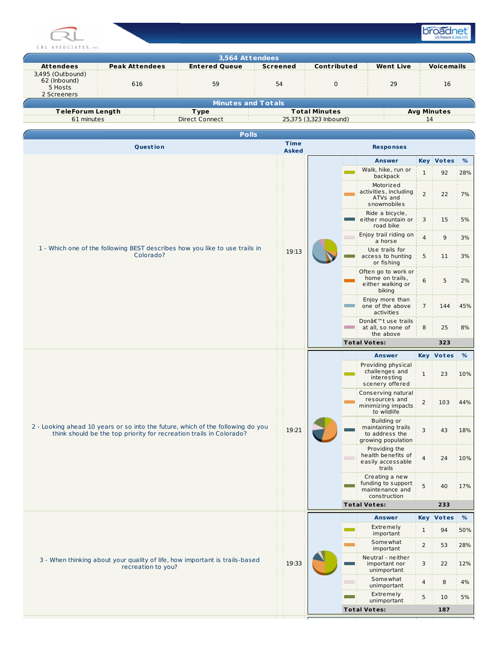